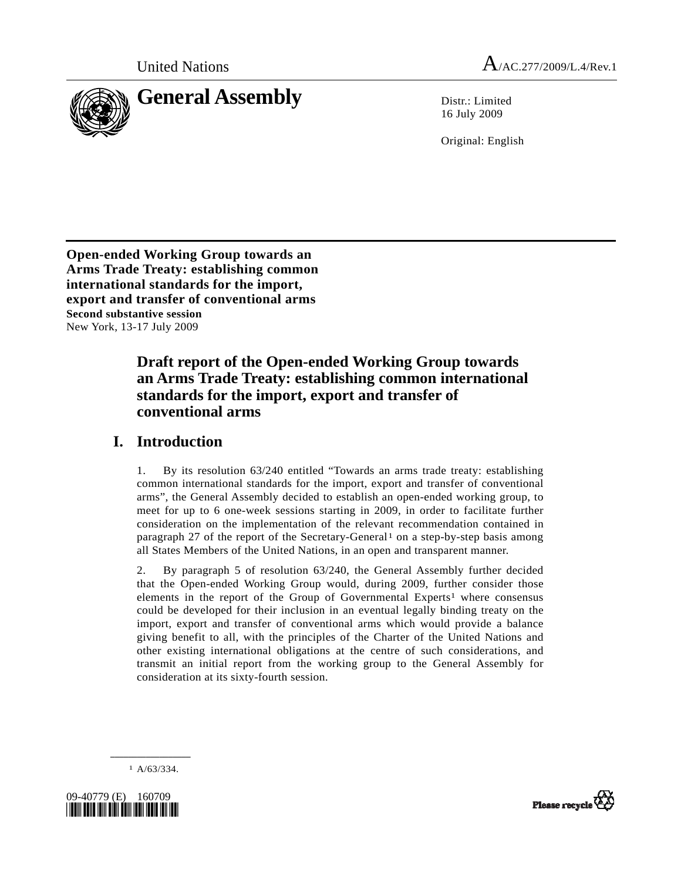

<span id="page-0-1"></span>

16 July 2009

Original: English

**Open-ended Working Group towards an Arms Trade Treaty: establishing common international standards for the import, export and transfer of conventional arms Second substantive session**  New York, 13-17 July 2009

# **Draft report of the Open-ended Working Group towards an Arms Trade Treaty: establishing common international standards for the import, export and transfer of conventional arms**

# **I. Introduction**

1. By its resolution 63/240 entitled "Towards an arms trade treaty: establishing common international standards for the import, export and transfer of conventional arms", the General Assembly decided to establish an open-ended working group, to meet for up to 6 one-week sessions starting in 2009, in order to facilitate further consideration on the implementation of the relevant recommendation contained in paragraph 27 of the report of the Secretary-General<sup>[1](#page-0-0)</sup> on a step-by-step basis among all States Members of the United Nations, in an open and transparent manner.

2. By paragraph 5 of resolution 63/240, the General Assembly further decided that the Open-ended Working Group would, during 2009, further consider those elements in the report of the Group of Governmental Experts<sup>1</sup> where consensus could be developed for their inclusion in an eventual legally binding treaty on the import, export and transfer of conventional arms which would provide a balance giving benefit to all, with the principles of the Charter of the United Nations and other existing international obligations at the centre of such considerations, and transmit an initial report from the working group to the General Assembly for consideration at its sixty-fourth session.

**\_\_\_\_\_\_\_\_\_\_\_\_\_\_\_\_\_\_**   $1 \text{ A}/63/334.$ 

<span id="page-0-0"></span>

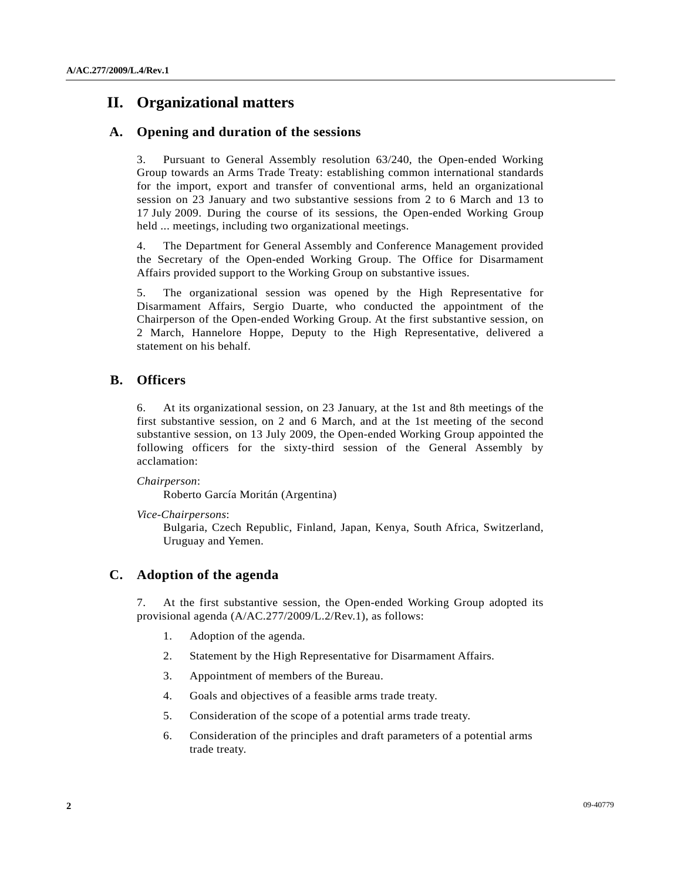# **II. Organizational matters**

#### **A. Opening and duration of the sessions**

3. Pursuant to General Assembly resolution 63/240, the Open-ended Working Group towards an Arms Trade Treaty: establishing common international standards for the import, export and transfer of conventional arms, held an organizational session on 23 January and two substantive sessions from 2 to 6 March and 13 to 17 July 2009. During the course of its sessions, the Open-ended Working Group held ... meetings, including two organizational meetings.

4. The Department for General Assembly and Conference Management provided the Secretary of the Open-ended Working Group. The Office for Disarmament Affairs provided support to the Working Group on substantive issues.

5. The organizational session was opened by the High Representative for Disarmament Affairs, Sergio Duarte, who conducted the appointment of the Chairperson of the Open-ended Working Group. At the first substantive session, on 2 March, Hannelore Hoppe, Deputy to the High Representative, delivered a statement on his behalf.

### **B. Officers**

6. At its organizational session, on 23 January, at the 1st and 8th meetings of the first substantive session, on 2 and 6 March, and at the 1st meeting of the second substantive session, on 13 July 2009, the Open-ended Working Group appointed the following officers for the sixty-third session of the General Assembly by acclamation:

*Chairperson*:

Roberto García Moritán (Argentina)

*Vice-Chairpersons*:

Bulgaria, Czech Republic, Finland, Japan, Kenya, South Africa, Switzerland, Uruguay and Yemen.

#### **C. Adoption of the agenda**

7. At the first substantive session, the Open-ended Working Group adopted its provisional agenda (A/AC.277/2009/L.2/Rev.1), as follows:

- 1. Adoption of the agenda.
- 2. Statement by the High Representative for Disarmament Affairs.
- 3. Appointment of members of the Bureau.
- 4. Goals and objectives of a feasible arms trade treaty.
- 5. Consideration of the scope of a potential arms trade treaty.
- 6. Consideration of the principles and draft parameters of a potential arms trade treaty.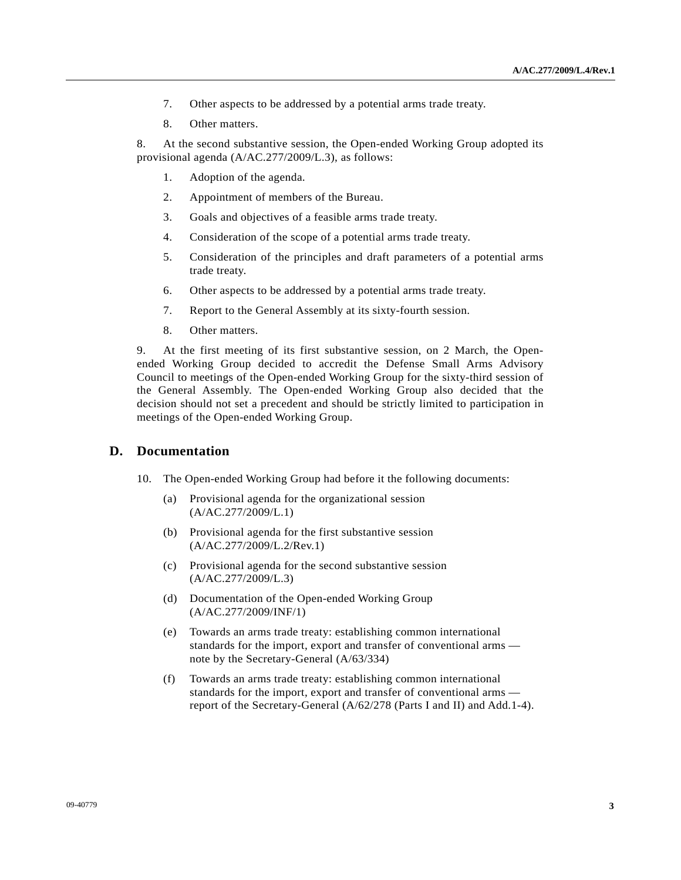- 7. Other aspects to be addressed by a potential arms trade treaty.
- 8. Other matters.

8. At the second substantive session, the Open-ended Working Group adopted its provisional agenda (A/AC.277/2009/L.3), as follows:

- 1. Adoption of the agenda.
- 2. Appointment of members of the Bureau.
- 3. Goals and objectives of a feasible arms trade treaty.
- 4. Consideration of the scope of a potential arms trade treaty.
- 5. Consideration of the principles and draft parameters of a potential arms trade treaty.
- 6. Other aspects to be addressed by a potential arms trade treaty.
- 7. Report to the General Assembly at its sixty-fourth session.
- 8. Other matters.

9. At the first meeting of its first substantive session, on 2 March, the Openended Working Group decided to accredit the Defense Small Arms Advisory Council to meetings of the Open-ended Working Group for the sixty-third session of the General Assembly. The Open-ended Working Group also decided that the decision should not set a precedent and should be strictly limited to participation in meetings of the Open-ended Working Group.

#### **D. Documentation**

- 10. The Open-ended Working Group had before it the following documents:
	- (a) Provisional agenda for the organizational session (A/AC.277/2009/L.1)
	- (b) Provisional agenda for the first substantive session (A/AC.277/2009/L.2/Rev.1)
	- (c) Provisional agenda for the second substantive session (A/AC.277/2009/L.3)
	- (d) Documentation of the Open-ended Working Group (A/AC.277/2009/INF/1)
	- (e) Towards an arms trade treaty: establishing common international standards for the import, export and transfer of conventional arms note by the Secretary-General (A/63/334)
	- (f) Towards an arms trade treaty: establishing common international standards for the import, export and transfer of conventional arms report of the Secretary-General (A/62/278 (Parts I and II) and Add.1-4).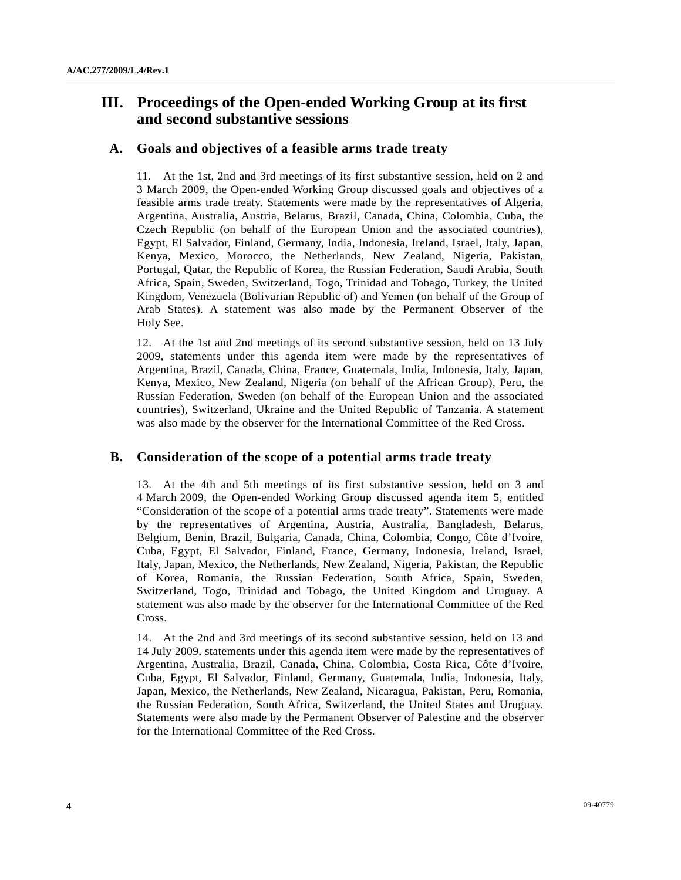# **III. Proceedings of the Open-ended Working Group at its first and second substantive sessions**

#### **A. Goals and objectives of a feasible arms trade treaty**

11. At the 1st, 2nd and 3rd meetings of its first substantive session, held on 2 and 3 March 2009, the Open-ended Working Group discussed goals and objectives of a feasible arms trade treaty. Statements were made by the representatives of Algeria, Argentina, Australia, Austria, Belarus, Brazil, Canada, China, Colombia, Cuba, the Czech Republic (on behalf of the European Union and the associated countries), Egypt, El Salvador, Finland, Germany, India, Indonesia, Ireland, Israel, Italy, Japan, Kenya, Mexico, Morocco, the Netherlands, New Zealand, Nigeria, Pakistan, Portugal, Qatar, the Republic of Korea, the Russian Federation, Saudi Arabia, South Africa, Spain, Sweden, Switzerland, Togo, Trinidad and Tobago, Turkey, the United Kingdom, Venezuela (Bolivarian Republic of) and Yemen (on behalf of the Group of Arab States). A statement was also made by the Permanent Observer of the Holy See.

12. At the 1st and 2nd meetings of its second substantive session, held on 13 July 2009, statements under this agenda item were made by the representatives of Argentina, Brazil, Canada, China, France, Guatemala, India, Indonesia, Italy, Japan, Kenya, Mexico, New Zealand, Nigeria (on behalf of the African Group), Peru, the Russian Federation, Sweden (on behalf of the European Union and the associated countries), Switzerland, Ukraine and the United Republic of Tanzania. A statement was also made by the observer for the International Committee of the Red Cross.

### **B. Consideration of the scope of a potential arms trade treaty**

13. At the 4th and 5th meetings of its first substantive session, held on 3 and 4 March 2009, the Open-ended Working Group discussed agenda item 5, entitled "Consideration of the scope of a potential arms trade treaty". Statements were made by the representatives of Argentina, Austria, Australia, Bangladesh, Belarus, Belgium, Benin, Brazil, Bulgaria, Canada, China, Colombia, Congo, Côte d'Ivoire, Cuba, Egypt, El Salvador, Finland, France, Germany, Indonesia, Ireland, Israel, Italy, Japan, Mexico, the Netherlands, New Zealand, Nigeria, Pakistan, the Republic of Korea, Romania, the Russian Federation, South Africa, Spain, Sweden, Switzerland, Togo, Trinidad and Tobago, the United Kingdom and Uruguay. A statement was also made by the observer for the International Committee of the Red Cross.

14. At the 2nd and 3rd meetings of its second substantive session, held on 13 and 14 July 2009, statements under this agenda item were made by the representatives of Argentina, Australia, Brazil, Canada, China, Colombia, Costa Rica, Côte d'Ivoire, Cuba, Egypt, El Salvador, Finland, Germany, Guatemala, India, Indonesia, Italy, Japan, Mexico, the Netherlands, New Zealand, Nicaragua, Pakistan, Peru, Romania, the Russian Federation, South Africa, Switzerland, the United States and Uruguay. Statements were also made by the Permanent Observer of Palestine and the observer for the International Committee of the Red Cross.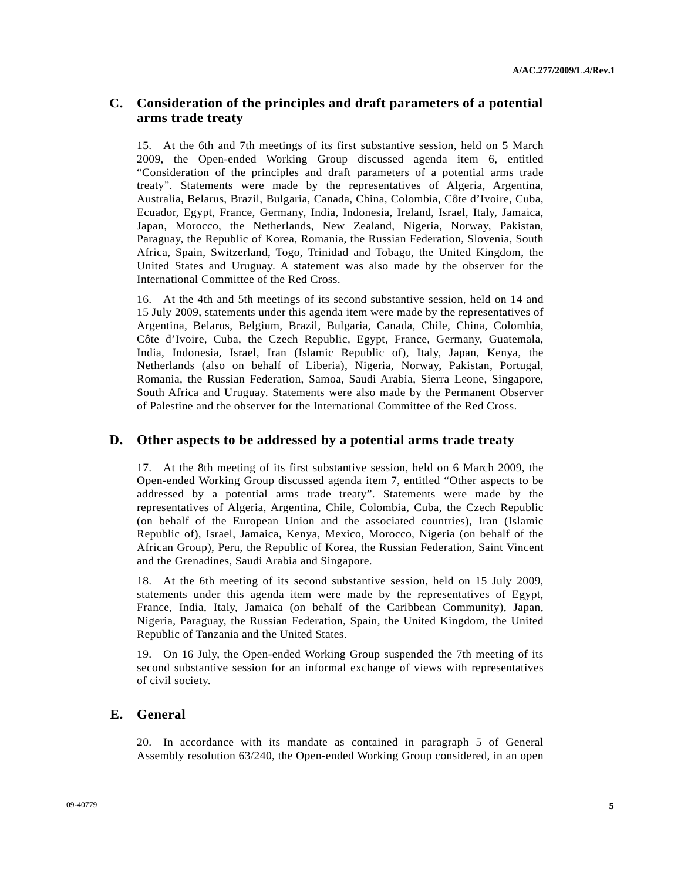## **C. Consideration of the principles and draft parameters of a potential arms trade treaty**

15. At the 6th and 7th meetings of its first substantive session, held on 5 March 2009, the Open-ended Working Group discussed agenda item 6, entitled "Consideration of the principles and draft parameters of a potential arms trade treaty". Statements were made by the representatives of Algeria, Argentina, Australia, Belarus, Brazil, Bulgaria, Canada, China, Colombia, Côte d'Ivoire, Cuba, Ecuador, Egypt, France, Germany, India, Indonesia, Ireland, Israel, Italy, Jamaica, Japan, Morocco, the Netherlands, New Zealand, Nigeria, Norway, Pakistan, Paraguay, the Republic of Korea, Romania, the Russian Federation, Slovenia, South Africa, Spain, Switzerland, Togo, Trinidad and Tobago, the United Kingdom, the United States and Uruguay. A statement was also made by the observer for the International Committee of the Red Cross.

16. At the 4th and 5th meetings of its second substantive session, held on 14 and 15 July 2009, statements under this agenda item were made by the representatives of Argentina, Belarus, Belgium, Brazil, Bulgaria, Canada, Chile, China, Colombia, Côte d'Ivoire, Cuba, the Czech Republic, Egypt, France, Germany, Guatemala, India, Indonesia, Israel, Iran (Islamic Republic of), Italy, Japan, Kenya, the Netherlands (also on behalf of Liberia), Nigeria, Norway, Pakistan, Portugal, Romania, the Russian Federation, Samoa, Saudi Arabia, Sierra Leone, Singapore, South Africa and Uruguay. Statements were also made by the Permanent Observer of Palestine and the observer for the International Committee of the Red Cross.

### **D. Other aspects to be addressed by a potential arms trade treaty**

17. At the 8th meeting of its first substantive session, held on 6 March 2009, the Open-ended Working Group discussed agenda item 7, entitled "Other aspects to be addressed by a potential arms trade treaty". Statements were made by the representatives of Algeria, Argentina, Chile, Colombia, Cuba, the Czech Republic (on behalf of the European Union and the associated countries), Iran (Islamic Republic of), Israel, Jamaica, Kenya, Mexico, Morocco, Nigeria (on behalf of the African Group), Peru, the Republic of Korea, the Russian Federation, Saint Vincent and the Grenadines, Saudi Arabia and Singapore.

18. At the 6th meeting of its second substantive session, held on 15 July 2009, statements under this agenda item were made by the representatives of Egypt, France, India, Italy, Jamaica (on behalf of the Caribbean Community), Japan, Nigeria, Paraguay, the Russian Federation, Spain, the United Kingdom, the United Republic of Tanzania and the United States.

19. On 16 July, the Open-ended Working Group suspended the 7th meeting of its second substantive session for an informal exchange of views with representatives of civil society.

## **E. General**

20. In accordance with its mandate as contained in paragraph 5 of General Assembly resolution 63/240, the Open-ended Working Group considered, in an open